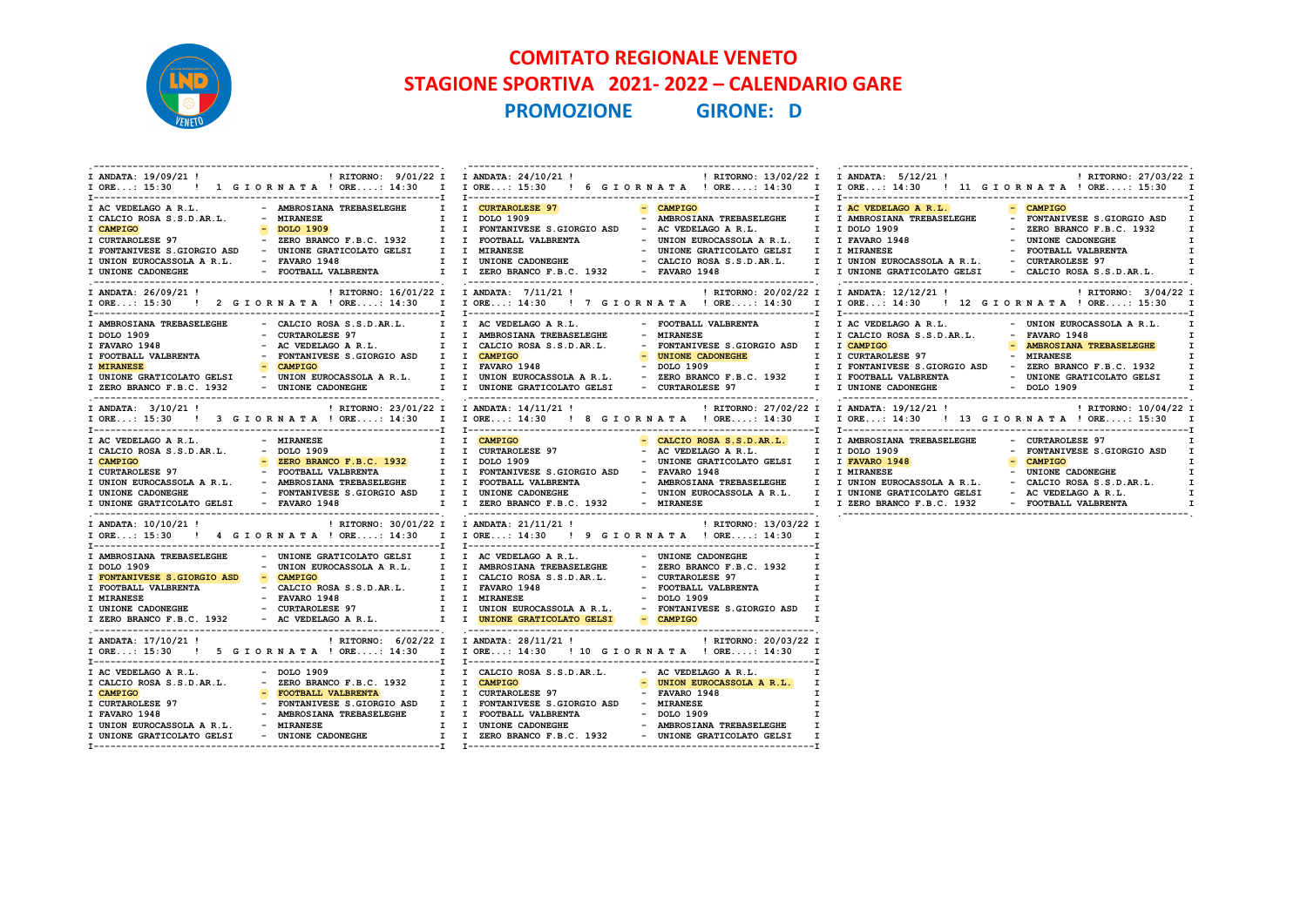

## COMITATO REGIONALE VENETO STAGIONE SPORTIVA 2021- 2022 – CALENDARIO GARE PROMOZIONE GIRONE: D

| I ANDATA: 19/09/21 !                                                                                                                                 | ! RITORNO: 9/01/22 I I ANDATA: 24/10/21 !                                                                                                                                                                                                                                                                                                      |                                                                                          | ! RITORNO: 13/02/22 I I ANDATA: 5/12/21 !                                                                                                                                                                                                                                                                                                                                                           |                                                                                                                                                                                                                             | ! RITORNO: 27/03/22 I<br>IORE: 15:30 ! 1 GIORNATA !ORE: 14:30 I IORE: 15:30 ! 6 GIORNATA !ORE: 14:30 I IORE: 14:30 ! 11 GIORNATA !ORE: 15:30 I                             |
|------------------------------------------------------------------------------------------------------------------------------------------------------|------------------------------------------------------------------------------------------------------------------------------------------------------------------------------------------------------------------------------------------------------------------------------------------------------------------------------------------------|------------------------------------------------------------------------------------------|-----------------------------------------------------------------------------------------------------------------------------------------------------------------------------------------------------------------------------------------------------------------------------------------------------------------------------------------------------------------------------------------------------|-----------------------------------------------------------------------------------------------------------------------------------------------------------------------------------------------------------------------------|----------------------------------------------------------------------------------------------------------------------------------------------------------------------------|
| I AC VEDELAGO A R.L.<br>I CALCIO ROSA S.S.D.AR.L.<br>I CAMPIGO<br>I CURTAROLESE 97<br>I UNION EUROCASSOLA A R.L. - FAVARO 1948<br>I UNIONE CADONEGHE | - AMBROSIANA TREBASELEGHE      I   I <mark>CURTAROLESE 97</mark><br>- MIRANESE<br>$-$ DOLO 1909<br>- ZERO BRANCO F.B.C. 1932 I I FOOTBALL VALBRENTA<br>I FONTANIVESE S.GIORGIO ASD - UNIONE GRATICOLATO GELSI I I MIRANESE                                                                                                                     | I I DOLO 1909<br>I I FONTANIVESE S.GIORGIO ASD - AC VEDELAGO A R.L.                      | - CAMPIGO<br>- AMBROSIANA TREBASELEGHE I I AMBROSIANA TREBASELEGHE<br>- UNION EUROCASSOLA A R.L. I I FAVARO 1948<br>- UNIONE GRATICOLATO GELSI I I MIRANESE<br>IO ASD - UNIONE GRATICOLATO GELSI I I MIRANESE - UNIONE GRATICOLATO GELSI I I MIRANESE - POOTBALL VALBRE:<br>R.L. - FAVARO 1948 - II UNIONE CADONEGHE - CALCIO ROSA S.S.D.AR.L. I I UNION EUROCASSOLA A R.L. - FOUTRACLESE 97<br>- F | I I AC VEDELAGO A R.L.<br>I I DOLO 1909<br>I I UNIONE GRATICOLATO GELSI - CALCIO ROSA S.S.D.AR.L.                                                                                                                           | - CAMPIGO<br>- FONTANIVESE S.GIORGIO ASD I<br>- ZERO BRANCO F.B.C. 1932<br>I<br>- UNIONE CADONEGHE<br>$\mathbf{I}$<br>$\mathbf{I}$<br>- FOOTBALL VALBRENTA<br>$\mathbf{I}$ |
| I ANDATA: 26/09/21 !                                                                                                                                 |                                                                                                                                                                                                                                                                                                                                                | ! RITORNO: 16/01/22 I I ANDATA: 7/11/21 !                                                | IORE: 15:30 ! 2 GIORNATA ! ORE: 14:30 I IORE: 14:30 ! 7 GIORNATA ! ORE: 14:30 I IORE: 14:30 ! 12 GIORNATA ! ORE: 15:30 I                                                                                                                                                                                                                                                                            | ! RITORNO: 20/02/22 I I ANDATA: 12/12/21 !                                                                                                                                                                                  | ! RITORNO: 3/04/22 I                                                                                                                                                       |
| I AMBROSIANA TREBASELEGHE<br>I DOLO 1909<br>I FAVARO 1948<br><b>I MIRANESE</b><br>I ZERO BRANCO F.B.C. 1932                                          | - CALCIO ROSA S.S.D.AR.L. I I AC VEDELAGO A R.L.<br>- CURTAROLESE 97<br>- AC VEDELAGO A R.L. I I CALCIO ROSA S.S.D.AR.L.<br>- CAMPIGO<br>I I FAVARO 1948<br>- UNIONE CADONEGHE T I UNIONE GRATICOLATO GELSI - CURTAROLESE 97                                                                                                                   | I I AMBROSIANA TREBASELEGHE                                                              | - FOOTBALL VALBRENTA<br>- MIRANESE<br>- FONTANIVESE S.GIORGIO ASD I I CAMPIGO<br>- UNIONE CADONEGHE<br><b>Exercise CAD</b><br>- DOLO 1909<br>I UNIONE GRATICOLATO GELSI - UNION EUROCASSOLA A R.L. I I UNION EUROCASSOLA A R.L. - ZERO BRANCO F.B.C. 1932 I I FOOTBALL VALBRENTA                                                                                                                    | I I AC VEDELAGO A R.L. $\qquad -$ UNION EUROCASSOLA A R.L.<br>I I CALCIO ROSA S.S.D.AR.L. - FAVARO 1948<br>I I CURTAROLESE 97 - MIRANESE<br>I I FONTANIVESE S.GIORGIO ASD - ZERO BRANCO F.B.C. 1932<br>I I UNIONE CADONEGHE | $\mathbf{T}$<br>I.<br>- AMBROSIANA TREBASELEGHE<br>$\mathbf{I}$<br>$\mathbf{I}$<br>$\mathbf{I}$<br>- UNIONE GRATICOLATO GELSI<br>- DOLO 1909<br>$\mathbf{I}$               |
| I ANDATA: 3/10/21 !                                                                                                                                  | ! RITORNO: 23/01/22 I I ANDATA: 14/11/21 !                                                                                                                                                                                                                                                                                                     |                                                                                          | IORE: 15:30 ! 3 GIORNATA ! ORE: 14:30 I IORE: 14:30 ! 8 GIORNATA ! ORE: 14:30 I IORE: 14:30 ! 13 GIORNATA ! ORE: 15:30 I                                                                                                                                                                                                                                                                            | ! RITORNO: 27/02/22 I I ANDATA: 19/12/21 !                                                                                                                                                                                  | ! RITORNO: 10/04/22 I                                                                                                                                                      |
| I AC VEDELAGO A R.L.<br>I CALCIO ROSA S.S.D.AR.L.<br>I CAMPIGO<br>I UNIONE CADONEGHE<br>I UNIONE GRATICOLATO GELSI - FAVARO 1948                     | - MIRANESE<br>$-$ DOLO 1909<br>- ZERO BRANCO F.B.C. 1932 I I DOLO 1909                                                                                                                                                                                                                                                                         | I I <mark>CAMPIGO</mark><br>I I CURTAROLESE 97<br>I I ZERO BRANCO F.B.C. 1932 - MIRANESE | - CALCIO ROSA S.S.D.AR.L. I I AMBROSIANA TREBASELEGHE<br>- AC VEDELAGO A R.L.<br>- UNIONE GRATICOLATO GELSI I I FAVARO 1948<br>- FONTANIVESE S.GIORGIO ASD I I UNIONE CADONEGHE     UNION EUROCASSOLA A R.L. I I UNIONE GRATICOLATO GELSI   - AC VEDELAGO A R.L.                                                                                                                                    | I I DOLO 1909<br>I I ZERO BRANCO F.B.C. 1932 - FOOTBALL VALBRENTA                                                                                                                                                           | - CURTAROLESE 97<br>- FONTANIVESE S.GIORGIO ASD I<br>$-$ CAMPIGO<br>$\mathbf{I}$<br>I.<br>$\mathbf{I}$<br>$\mathbf{I}$<br>$\mathbf{I}$                                     |
| I ANDATA: 10/10/21 !                                                                                                                                 |                                                                                                                                                                                                                                                                                                                                                |                                                                                          | I ORE: 15:30 ! 4 G I OR N A T A ! ORE: 14:30 I I ORE: 14:30 ! 9 G I OR N A T A ! ORE: 14:30 I                                                                                                                                                                                                                                                                                                       |                                                                                                                                                                                                                             |                                                                                                                                                                            |
| I DOLO 1909<br>I FONTANIVESE S.GIORGIO ASD - CAMPIGO<br>I FOOTBALL VALBRENTA<br>I MIRANESE<br>I UNIONE CADONEGHE                                     | I AMBROSIANA TREBASELEGHE - UNIONE GRATICOLATO GELSI I I AC VEDELAGO A R.L.<br>- UNION EUROCASSOLA A R.L. I I AMBROSIANA TREBASELEGHE<br>- CALCIO ROSA S.S.D.AR.L. I I FAVARO 1948<br>- FAVARO 1948<br>- CURTAROLESE 97<br>I ZERO BRANCO F.B.C. 1932 - AC VEDELAGO A R.L. I I UNIONE GRATICOLATO GELSI - CAMPIGO                               | I I CALCIO ROSA S.S.D.AR.L.<br>I I MIRANESE                                              | - UNIONE CADONEGHE<br>$\mathbf{I}$<br>- ZERO BRANCO F.B.C. 1932<br>I<br>- CURTAROLESE 97<br>$\mathbf{I}$<br>- FOOTBALL VALBRENTA<br>$\mathbf{I}$<br>$-$ DOLO 1909<br>$\mathbf{r}$<br>I I UNION EUROCASSOLA A R.L. - FONTANIVESE S.GIORGIO ASD I<br>$\mathbf{I}$                                                                                                                                     |                                                                                                                                                                                                                             |                                                                                                                                                                            |
| I ANDATA: 17/10/21 !                                                                                                                                 | ! RITORNO: 6/02/22 I I ANDATA: 28/11/21 !                                                                                                                                                                                                                                                                                                      |                                                                                          | ! RITORNO: 20/03/22 I<br>I ORE: 15:30 ! 5 G I ORNATA ! ORE: 14:30 I I ORE: 14:30 ! 10 G I ORNATA ! ORE: 14:30 I                                                                                                                                                                                                                                                                                     |                                                                                                                                                                                                                             |                                                                                                                                                                            |
| I AC VEDELAGO A R.L.<br>I CAMPIGO<br>I CURTAROLESE 97<br>I FAVARO 1948<br>I UNION EUROCASSOLA A R.L.<br>I UNIONE GRATICOLATO GELSI                   | - DOLO 1909<br>I CALCIO ROSA S.S.D.AR.L. - ZERO BRANCO F.B.C. 1932 I I CAMPIGO<br>- FOOTBALL VALBRENTA<br>FONTANIVESE S.GIORGIO ASD I I FONTANIVESE S.GIORGIO ASD - MIRANESE<br>- AMBROSIANA TREBASELEGHE I I FOOTBALL VALBRENTA - DOLO 1909<br>- AMBROSIANA TREBASELEGHE I I UNIONE CADONEGHE - AMBROSIANA TREBASELEGHE<br>- UNIONE CADONEGHE | I I CALCIO ROSA S.S.D.AR.L. - AC VEDELAGO A R.L.<br>I I CURTAROLESE 97                   | I<br>- UNION EUROCASSOLA A R.L.<br>- FAVARO 1948<br>$\mathbf{I}$<br>I<br>$\mathbf{I}$<br>$\mathbf{I}$<br>I I ZERO BRANCO F.B.C. 1932 - UNIONE GRATICOLATO GELSI I                                                                                                                                                                                                                                   |                                                                                                                                                                                                                             |                                                                                                                                                                            |